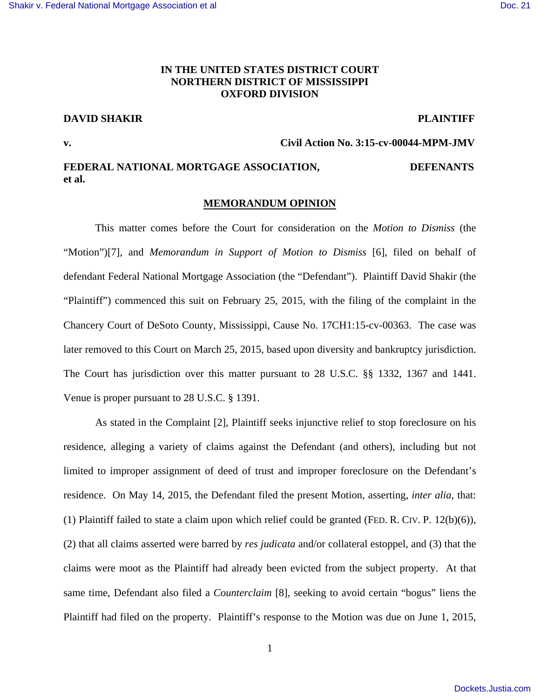# **IN THE UNITED STATES DISTRICT COURT NORTHERN DISTRICT OF MISSISSIPPI OXFORD DIVISION**

# **DAVID SHAKIR PLAINTIFF**

**v. Civil Action No. 3:15-cv-00044-MPM-JMV** 

# **FEDERAL NATIONAL MORTGAGE ASSOCIATION, DEFENANTS et al.**

# **MEMORANDUM OPINION**

 This matter comes before the Court for consideration on the *Motion to Dismiss* (the "Motion")[7], and *Memorandum in Support of Motion to Dismiss* [6], filed on behalf of defendant Federal National Mortgage Association (the "Defendant"). Plaintiff David Shakir (the "Plaintiff") commenced this suit on February 25, 2015, with the filing of the complaint in the Chancery Court of DeSoto County, Mississippi, Cause No. 17CH1:15-cv-00363. The case was later removed to this Court on March 25, 2015, based upon diversity and bankruptcy jurisdiction. The Court has jurisdiction over this matter pursuant to 28 U.S.C. §§ 1332, 1367 and 1441. Venue is proper pursuant to 28 U.S.C. § 1391.

As stated in the Complaint [2], Plaintiff seeks injunctive relief to stop foreclosure on his residence, alleging a variety of claims against the Defendant (and others), including but not limited to improper assignment of deed of trust and improper foreclosure on the Defendant's residence. On May 14, 2015, the Defendant filed the present Motion, asserting, *inter alia*, that: (1) Plaintiff failed to state a claim upon which relief could be granted (FED. R. CIV. P. 12(b)(6)), (2) that all claims asserted were barred by *res judicata* and/or collateral estoppel, and (3) that the claims were moot as the Plaintiff had already been evicted from the subject property. At that same time, Defendant also filed a *Counterclaim* [8], seeking to avoid certain "bogus" liens the Plaintiff had filed on the property. Plaintiff's response to the Motion was due on June 1, 2015,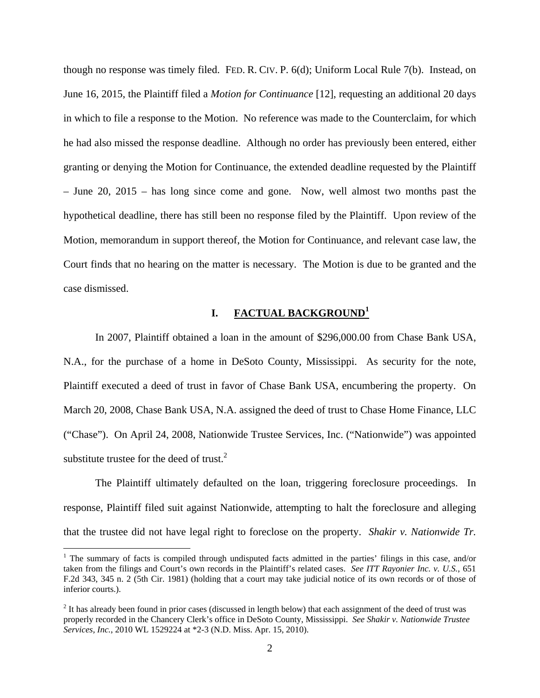though no response was timely filed. FED. R. CIV. P. 6(d); Uniform Local Rule 7(b). Instead, on June 16, 2015, the Plaintiff filed a *Motion for Continuance* [12], requesting an additional 20 days in which to file a response to the Motion. No reference was made to the Counterclaim, for which he had also missed the response deadline. Although no order has previously been entered, either granting or denying the Motion for Continuance, the extended deadline requested by the Plaintiff – June 20, 2015 – has long since come and gone. Now, well almost two months past the hypothetical deadline, there has still been no response filed by the Plaintiff. Upon review of the Motion, memorandum in support thereof, the Motion for Continuance, and relevant case law, the Court finds that no hearing on the matter is necessary. The Motion is due to be granted and the case dismissed.

## **I. FACTUAL BACKGROUND<sup>1</sup>**

In 2007, Plaintiff obtained a loan in the amount of \$296,000.00 from Chase Bank USA, N.A., for the purchase of a home in DeSoto County, Mississippi. As security for the note, Plaintiff executed a deed of trust in favor of Chase Bank USA, encumbering the property. On March 20, 2008, Chase Bank USA, N.A. assigned the deed of trust to Chase Home Finance, LLC ("Chase"). On April 24, 2008, Nationwide Trustee Services, Inc. ("Nationwide") was appointed substitute trustee for the deed of trust. $^{2}$ 

The Plaintiff ultimately defaulted on the loan, triggering foreclosure proceedings. In response, Plaintiff filed suit against Nationwide, attempting to halt the foreclosure and alleging that the trustee did not have legal right to foreclose on the property. *Shakir v. Nationwide Tr.* 

<u>.</u>

<sup>&</sup>lt;sup>1</sup> The summary of facts is compiled through undisputed facts admitted in the parties' filings in this case, and/or taken from the filings and Court's own records in the Plaintiff's related cases. *See ITT Rayonier Inc. v. U.S.*, 651 F.2d 343, 345 n. 2 (5th Cir. 1981) (holding that a court may take judicial notice of its own records or of those of inferior courts.).

 $2$  It has already been found in prior cases (discussed in length below) that each assignment of the deed of trust was properly recorded in the Chancery Clerk's office in DeSoto County, Mississippi. *See Shakir v. Nationwide Trustee Services, Inc.*, 2010 WL 1529224 at \*2-3 (N.D. Miss. Apr. 15, 2010).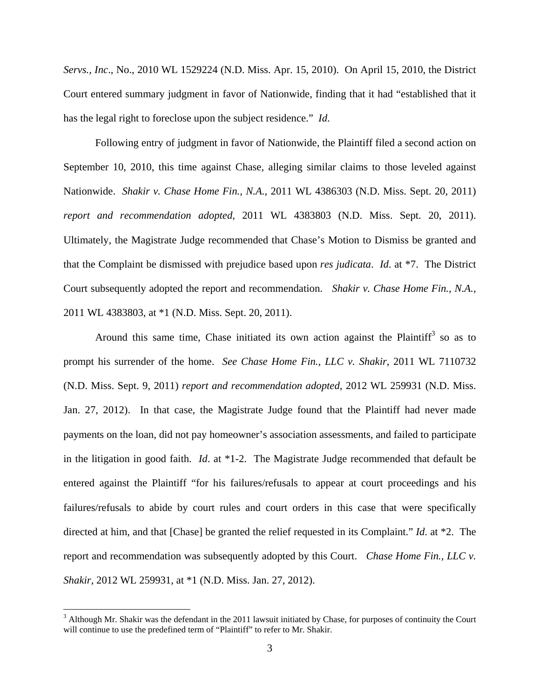*Servs., Inc*., No., 2010 WL 1529224 (N.D. Miss. Apr. 15, 2010). On April 15, 2010, the District Court entered summary judgment in favor of Nationwide, finding that it had "established that it has the legal right to foreclose upon the subject residence." *Id*.

Following entry of judgment in favor of Nationwide, the Plaintiff filed a second action on September 10, 2010, this time against Chase, alleging similar claims to those leveled against Nationwide. *Shakir v. Chase Home Fin., N.A.*, 2011 WL 4386303 (N.D. Miss. Sept. 20, 2011) *report and recommendation adopted*, 2011 WL 4383803 (N.D. Miss. Sept. 20, 2011). Ultimately, the Magistrate Judge recommended that Chase's Motion to Dismiss be granted and that the Complaint be dismissed with prejudice based upon *res judicata*. *Id*. at \*7. The District Court subsequently adopted the report and recommendation. *Shakir v. Chase Home Fin., N.A.*, 2011 WL 4383803, at \*1 (N.D. Miss. Sept. 20, 2011).

Around this same time, Chase initiated its own action against the Plaintiff<sup>3</sup> so as to prompt his surrender of the home. *See Chase Home Fin., LLC v. Shakir*, 2011 WL 7110732 (N.D. Miss. Sept. 9, 2011) *report and recommendation adopted*, 2012 WL 259931 (N.D. Miss. Jan. 27, 2012).In that case, the Magistrate Judge found that the Plaintiff had never made payments on the loan, did not pay homeowner's association assessments, and failed to participate in the litigation in good faith. *Id*. at \*1-2. The Magistrate Judge recommended that default be entered against the Plaintiff "for his failures/refusals to appear at court proceedings and his failures/refusals to abide by court rules and court orders in this case that were specifically directed at him, and that [Chase] be granted the relief requested in its Complaint." *Id*. at \*2. The report and recommendation was subsequently adopted by this Court. *Chase Home Fin., LLC v. Shakir*, 2012 WL 259931, at \*1 (N.D. Miss. Jan. 27, 2012).

<u>.</u>

 $3$  Although Mr. Shakir was the defendant in the 2011 lawsuit initiated by Chase, for purposes of continuity the Court will continue to use the predefined term of "Plaintiff" to refer to Mr. Shakir.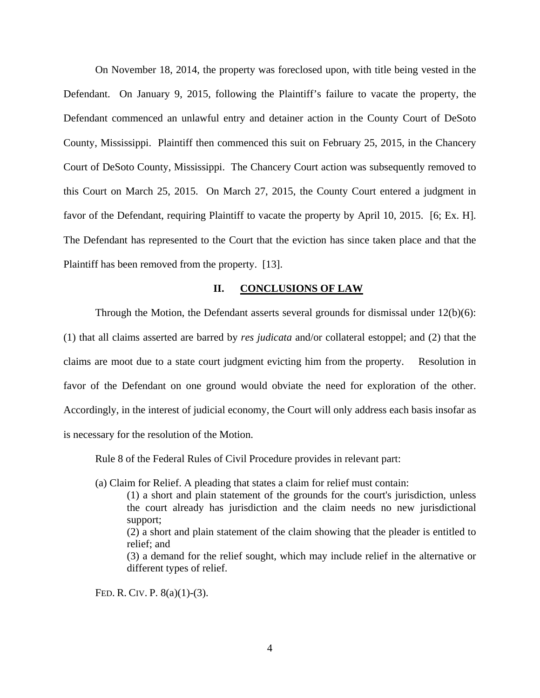On November 18, 2014, the property was foreclosed upon, with title being vested in the Defendant. On January 9, 2015, following the Plaintiff's failure to vacate the property, the Defendant commenced an unlawful entry and detainer action in the County Court of DeSoto County, Mississippi. Plaintiff then commenced this suit on February 25, 2015, in the Chancery Court of DeSoto County, Mississippi. The Chancery Court action was subsequently removed to this Court on March 25, 2015. On March 27, 2015, the County Court entered a judgment in favor of the Defendant, requiring Plaintiff to vacate the property by April 10, 2015. [6; Ex. H]. The Defendant has represented to the Court that the eviction has since taken place and that the Plaintiff has been removed from the property. [13].

#### **II. CONCLUSIONS OF LAW**

Through the Motion, the Defendant asserts several grounds for dismissal under  $12(b)(6)$ :

(1) that all claims asserted are barred by *res judicata* and/or collateral estoppel; and (2) that the claims are moot due to a state court judgment evicting him from the property. Resolution in favor of the Defendant on one ground would obviate the need for exploration of the other. Accordingly, in the interest of judicial economy, the Court will only address each basis insofar as is necessary for the resolution of the Motion.

Rule 8 of the Federal Rules of Civil Procedure provides in relevant part:

(a) Claim for Relief. A pleading that states a claim for relief must contain:

(1) a short and plain statement of the grounds for the court's jurisdiction, unless the court already has jurisdiction and the claim needs no new jurisdictional support; (2) a short and plain statement of the claim showing that the pleader is entitled to relief; and (3) a demand for the relief sought, which may include relief in the alternative or different types of relief.

FED. R. CIV. P. 8(a)(1)-(3).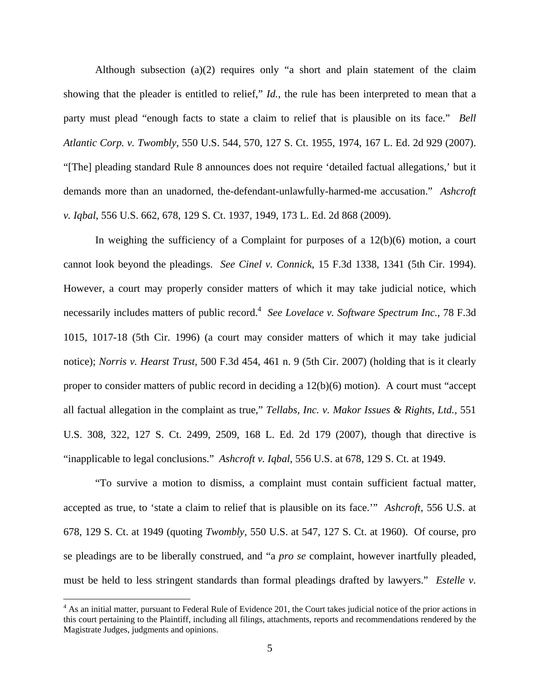Although subsection (a)(2) requires only "a short and plain statement of the claim showing that the pleader is entitled to relief," *Id.*, the rule has been interpreted to mean that a party must plead "enough facts to state a claim to relief that is plausible on its face." *Bell Atlantic Corp. v. Twombly*, 550 U.S. 544, 570, 127 S. Ct. 1955, 1974, 167 L. Ed. 2d 929 (2007). "[The] pleading standard Rule 8 announces does not require 'detailed factual allegations,' but it demands more than an unadorned, the-defendant-unlawfully-harmed-me accusation." *Ashcroft v. Iqbal*, 556 U.S. 662, 678, 129 S. Ct. 1937, 1949, 173 L. Ed. 2d 868 (2009).

In weighing the sufficiency of a Complaint for purposes of a 12(b)(6) motion, a court cannot look beyond the pleadings. *See Cinel v. Connick*, 15 F.3d 1338, 1341 (5th Cir. 1994). However, a court may properly consider matters of which it may take judicial notice, which necessarily includes matters of public record.<sup>4</sup> See Lovelace v. Software Spectrum Inc., 78 F.3d 1015, 1017-18 (5th Cir. 1996) (a court may consider matters of which it may take judicial notice); *Norris v. Hearst Trust,* 500 F.3d 454, 461 n. 9 (5th Cir. 2007) (holding that is it clearly proper to consider matters of public record in deciding a 12(b)(6) motion). A court must "accept all factual allegation in the complaint as true," *Tellabs, Inc. v. Makor Issues & Rights, Ltd.,* 551 U.S. 308, 322, 127 S. Ct. 2499, 2509, 168 L. Ed. 2d 179 (2007), though that directive is "inapplicable to legal conclusions." *Ashcroft v. Iqbal*, 556 U.S. at 678, 129 S. Ct. at 1949.

"To survive a motion to dismiss, a complaint must contain sufficient factual matter, accepted as true, to 'state a claim to relief that is plausible on its face.'" *Ashcroft*, 556 U.S. at 678, 129 S. Ct. at 1949 (quoting *Twombly*, 550 U.S. at 547, 127 S. Ct. at 1960). Of course, pro se pleadings are to be liberally construed, and "a *pro se* complaint, however inartfully pleaded, must be held to less stringent standards than formal pleadings drafted by lawyers." *Estelle v.* 

 $\overline{a}$ 

<sup>&</sup>lt;sup>4</sup> As an initial matter, pursuant to Federal Rule of Evidence 201, the Court takes judicial notice of the prior actions in this court pertaining to the Plaintiff, including all filings, attachments, reports and recommendations rendered by the Magistrate Judges, judgments and opinions.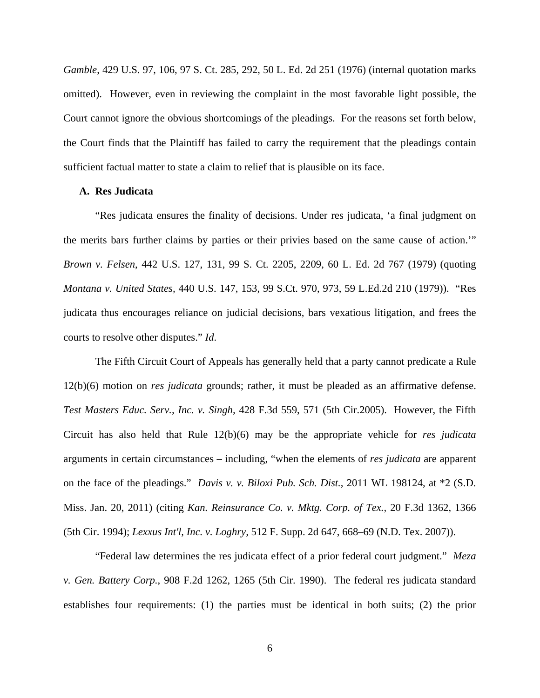*Gamble*, 429 U.S. 97, 106, 97 S. Ct. 285, 292, 50 L. Ed. 2d 251 (1976) (internal quotation marks omitted). However, even in reviewing the complaint in the most favorable light possible, the Court cannot ignore the obvious shortcomings of the pleadings. For the reasons set forth below, the Court finds that the Plaintiff has failed to carry the requirement that the pleadings contain sufficient factual matter to state a claim to relief that is plausible on its face.

## **A. Res Judicata**

"Res judicata ensures the finality of decisions. Under res judicata, 'a final judgment on the merits bars further claims by parties or their privies based on the same cause of action.'" *Brown v. Felsen*, 442 U.S. 127, 131, 99 S. Ct. 2205, 2209, 60 L. Ed. 2d 767 (1979) (quoting *Montana v. United States,* 440 U.S. 147, 153, 99 S.Ct. 970, 973, 59 L.Ed.2d 210 (1979)). "Res judicata thus encourages reliance on judicial decisions, bars vexatious litigation, and frees the courts to resolve other disputes." *Id*.

The Fifth Circuit Court of Appeals has generally held that a party cannot predicate a Rule 12(b)(6) motion on *res judicata* grounds; rather, it must be pleaded as an affirmative defense. *Test Masters Educ. Serv., Inc. v. Singh,* 428 F.3d 559, 571 (5th Cir.2005). However, the Fifth Circuit has also held that Rule 12(b)(6) may be the appropriate vehicle for *res judicata* arguments in certain circumstances – including, "when the elements of *res judicata* are apparent on the face of the pleadings." *Davis v. v. Biloxi Pub. Sch. Dist.*, 2011 WL 198124, at \*2 (S.D. Miss. Jan. 20, 2011) (citing *Kan. Reinsurance Co. v. Mktg. Corp. of Tex.,* 20 F.3d 1362, 1366 (5th Cir. 1994); *Lexxus Int'l, Inc. v. Loghry,* 512 F. Supp. 2d 647, 668–69 (N.D. Tex. 2007)).

"Federal law determines the res judicata effect of a prior federal court judgment." *Meza v. Gen. Battery Corp.*, 908 F.2d 1262, 1265 (5th Cir. 1990). The federal res judicata standard establishes four requirements: (1) the parties must be identical in both suits; (2) the prior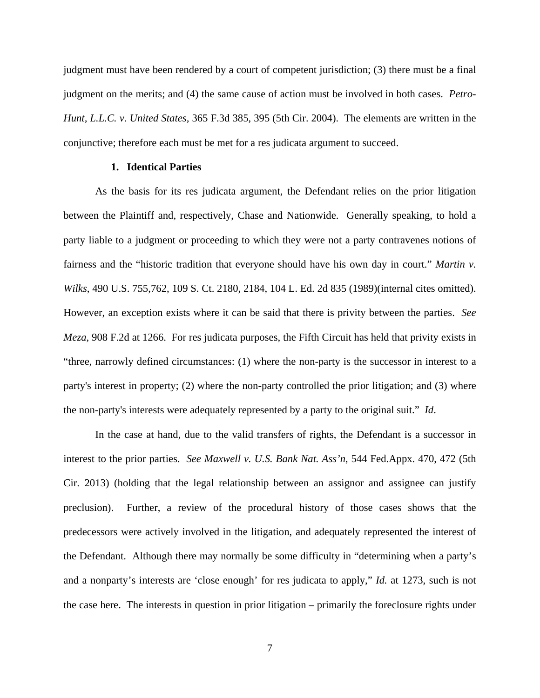judgment must have been rendered by a court of competent jurisdiction; (3) there must be a final judgment on the merits; and (4) the same cause of action must be involved in both cases. *Petro-Hunt, L.L.C. v. United States,* 365 F.3d 385, 395 (5th Cir. 2004). The elements are written in the conjunctive; therefore each must be met for a res judicata argument to succeed.

## **1. Identical Parties**

As the basis for its res judicata argument, the Defendant relies on the prior litigation between the Plaintiff and, respectively, Chase and Nationwide. Generally speaking, to hold a party liable to a judgment or proceeding to which they were not a party contravenes notions of fairness and the "historic tradition that everyone should have his own day in court." *Martin v. Wilks*, 490 U.S. 755,762, 109 S. Ct. 2180, 2184, 104 L. Ed. 2d 835 (1989)(internal cites omitted). However, an exception exists where it can be said that there is privity between the parties. *See Meza*, 908 F.2d at 1266. For res judicata purposes, the Fifth Circuit has held that privity exists in "three, narrowly defined circumstances: (1) where the non-party is the successor in interest to a party's interest in property; (2) where the non-party controlled the prior litigation; and (3) where the non-party's interests were adequately represented by a party to the original suit." *Id*.

In the case at hand, due to the valid transfers of rights, the Defendant is a successor in interest to the prior parties. *See Maxwell v. U.S. Bank Nat. Ass'n*, 544 Fed.Appx. 470, 472 (5th Cir. 2013) (holding that the legal relationship between an assignor and assignee can justify preclusion). Further, a review of the procedural history of those cases shows that the predecessors were actively involved in the litigation, and adequately represented the interest of the Defendant. Although there may normally be some difficulty in "determining when a party's and a nonparty's interests are 'close enough' for res judicata to apply," *Id.* at 1273, such is not the case here. The interests in question in prior litigation – primarily the foreclosure rights under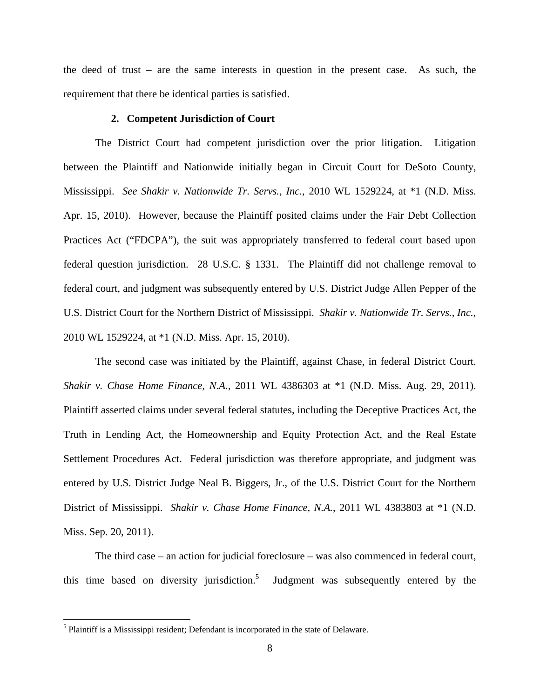the deed of trust – are the same interests in question in the present case. As such, the requirement that there be identical parties is satisfied.

#### **2. Competent Jurisdiction of Court**

The District Court had competent jurisdiction over the prior litigation. Litigation between the Plaintiff and Nationwide initially began in Circuit Court for DeSoto County, Mississippi. *See Shakir v. Nationwide Tr. Servs., Inc.*, 2010 WL 1529224, at \*1 (N.D. Miss. Apr. 15, 2010). However, because the Plaintiff posited claims under the Fair Debt Collection Practices Act ("FDCPA"), the suit was appropriately transferred to federal court based upon federal question jurisdiction. 28 U.S.C. § 1331. The Plaintiff did not challenge removal to federal court, and judgment was subsequently entered by U.S. District Judge Allen Pepper of the U.S. District Court for the Northern District of Mississippi. *Shakir v. Nationwide Tr. Servs., Inc.*, 2010 WL 1529224, at \*1 (N.D. Miss. Apr. 15, 2010).

The second case was initiated by the Plaintiff, against Chase, in federal District Court. *Shakir v. Chase Home Finance, N.A.*, 2011 WL 4386303 at \*1 (N.D. Miss. Aug. 29, 2011). Plaintiff asserted claims under several federal statutes, including the Deceptive Practices Act, the Truth in Lending Act, the Homeownership and Equity Protection Act, and the Real Estate Settlement Procedures Act. Federal jurisdiction was therefore appropriate, and judgment was entered by U.S. District Judge Neal B. Biggers, Jr., of the U.S. District Court for the Northern District of Mississippi. *Shakir v. Chase Home Finance, N.A.*, 2011 WL 4383803 at \*1 (N.D. Miss. Sep. 20, 2011).

 The third case – an action for judicial foreclosure – was also commenced in federal court, this time based on diversity jurisdiction.<sup>5</sup> Judgment was subsequently entered by the

 $\overline{a}$ 

<sup>&</sup>lt;sup>5</sup> Plaintiff is a Mississippi resident; Defendant is incorporated in the state of Delaware.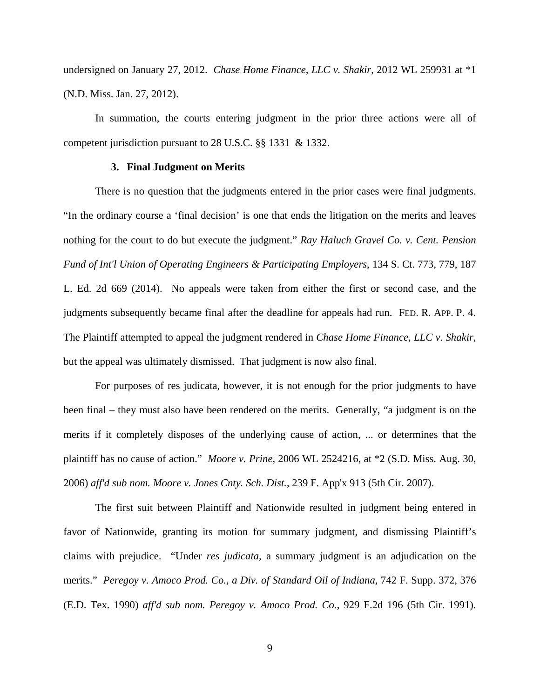undersigned on January 27, 2012. *Chase Home Finance, LLC v. Shakir*, 2012 WL 259931 at \*1 (N.D. Miss. Jan. 27, 2012).

 In summation, the courts entering judgment in the prior three actions were all of competent jurisdiction pursuant to 28 U.S.C. §§ 1331 & 1332.

#### **3. Final Judgment on Merits**

There is no question that the judgments entered in the prior cases were final judgments. "In the ordinary course a 'final decision' is one that ends the litigation on the merits and leaves nothing for the court to do but execute the judgment." *Ray Haluch Gravel Co. v. Cent. Pension Fund of Int'l Union of Operating Engineers & Participating Employers*, 134 S. Ct. 773, 779, 187 L. Ed. 2d 669 (2014). No appeals were taken from either the first or second case, and the judgments subsequently became final after the deadline for appeals had run. FED. R. APP. P. 4. The Plaintiff attempted to appeal the judgment rendered in *Chase Home Finance, LLC v. Shakir*, but the appeal was ultimately dismissed. That judgment is now also final.

For purposes of res judicata, however, it is not enough for the prior judgments to have been final – they must also have been rendered on the merits. Generally, "a judgment is on the merits if it completely disposes of the underlying cause of action, ... or determines that the plaintiff has no cause of action." *Moore v. Prine*, 2006 WL 2524216, at \*2 (S.D. Miss. Aug. 30, 2006) *aff'd sub nom. Moore v. Jones Cnty. Sch. Dist.*, 239 F. App'x 913 (5th Cir. 2007).

The first suit between Plaintiff and Nationwide resulted in judgment being entered in favor of Nationwide, granting its motion for summary judgment, and dismissing Plaintiff's claims with prejudice. "Under *res judicata,* a summary judgment is an adjudication on the merits." *Peregoy v. Amoco Prod. Co., a Div. of Standard Oil of Indiana*, 742 F. Supp. 372, 376 (E.D. Tex. 1990) *aff'd sub nom. Peregoy v. Amoco Prod. Co.*, 929 F.2d 196 (5th Cir. 1991).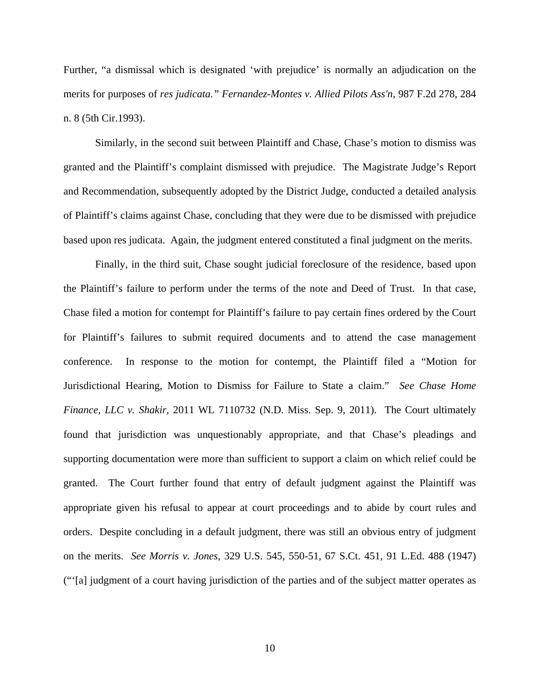Further, "a dismissal which is designated 'with prejudice' is normally an adjudication on the merits for purposes of *res judicata." Fernandez-Montes v. Allied Pilots Ass'n,* 987 F.2d 278, 284 n. 8 (5th Cir.1993).

 Similarly, in the second suit between Plaintiff and Chase, Chase's motion to dismiss was granted and the Plaintiff's complaint dismissed with prejudice. The Magistrate Judge's Report and Recommendation, subsequently adopted by the District Judge, conducted a detailed analysis of Plaintiff's claims against Chase, concluding that they were due to be dismissed with prejudice based upon res judicata. Again, the judgment entered constituted a final judgment on the merits.

 Finally, in the third suit, Chase sought judicial foreclosure of the residence, based upon the Plaintiff's failure to perform under the terms of the note and Deed of Trust. In that case, Chase filed a motion for contempt for Plaintiff's failure to pay certain fines ordered by the Court for Plaintiff's failures to submit required documents and to attend the case management conference. In response to the motion for contempt, the Plaintiff filed a "Motion for Jurisdictional Hearing, Motion to Dismiss for Failure to State a claim." *See Chase Home Finance, LLC v. Shakir*, 2011 WL 7110732 (N.D. Miss. Sep. 9, 2011). The Court ultimately found that jurisdiction was unquestionably appropriate, and that Chase's pleadings and supporting documentation were more than sufficient to support a claim on which relief could be granted. The Court further found that entry of default judgment against the Plaintiff was appropriate given his refusal to appear at court proceedings and to abide by court rules and orders. Despite concluding in a default judgment, there was still an obvious entry of judgment on the merits. *See Morris v. Jones*, 329 U.S. 545, 550-51, 67 S.Ct. 451, 91 L.Ed. 488 (1947) ("'[a] judgment of a court having jurisdiction of the parties and of the subject matter operates as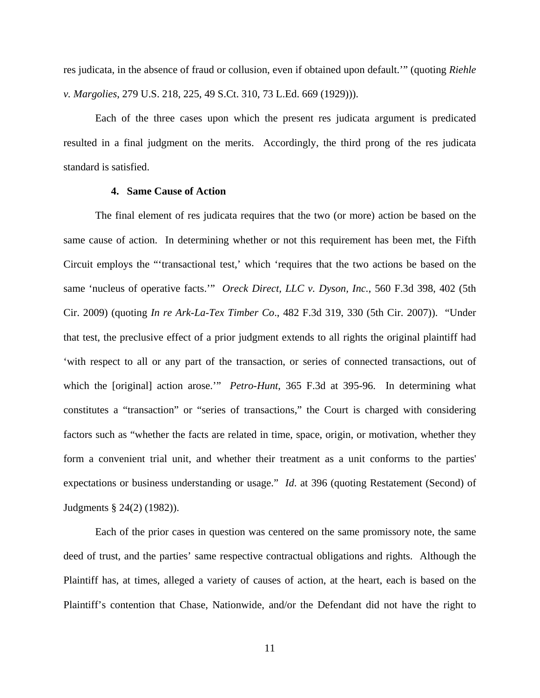res judicata, in the absence of fraud or collusion, even if obtained upon default.'" (quoting *Riehle v. Margolies*, 279 U.S. 218, 225, 49 S.Ct. 310, 73 L.Ed. 669 (1929))).

 Each of the three cases upon which the present res judicata argument is predicated resulted in a final judgment on the merits. Accordingly, the third prong of the res judicata standard is satisfied.

## **4. Same Cause of Action**

The final element of res judicata requires that the two (or more) action be based on the same cause of action. In determining whether or not this requirement has been met, the Fifth Circuit employs the "'transactional test,' which 'requires that the two actions be based on the same 'nucleus of operative facts.'" *Oreck Direct, LLC v. Dyson, Inc.*, 560 F.3d 398, 402 (5th Cir. 2009) (quoting *In re Ark-La-Tex Timber Co*., 482 F.3d 319, 330 (5th Cir. 2007)). "Under that test, the preclusive effect of a prior judgment extends to all rights the original plaintiff had 'with respect to all or any part of the transaction, or series of connected transactions, out of which the [original] action arose.'" *Petro-Hunt*, 365 F.3d at 395-96. In determining what constitutes a "transaction" or "series of transactions," the Court is charged with considering factors such as "whether the facts are related in time, space, origin, or motivation, whether they form a convenient trial unit, and whether their treatment as a unit conforms to the parties' expectations or business understanding or usage." *Id*. at 396 (quoting Restatement (Second) of Judgments § 24(2) (1982)).

Each of the prior cases in question was centered on the same promissory note, the same deed of trust, and the parties' same respective contractual obligations and rights. Although the Plaintiff has, at times, alleged a variety of causes of action, at the heart, each is based on the Plaintiff's contention that Chase, Nationwide, and/or the Defendant did not have the right to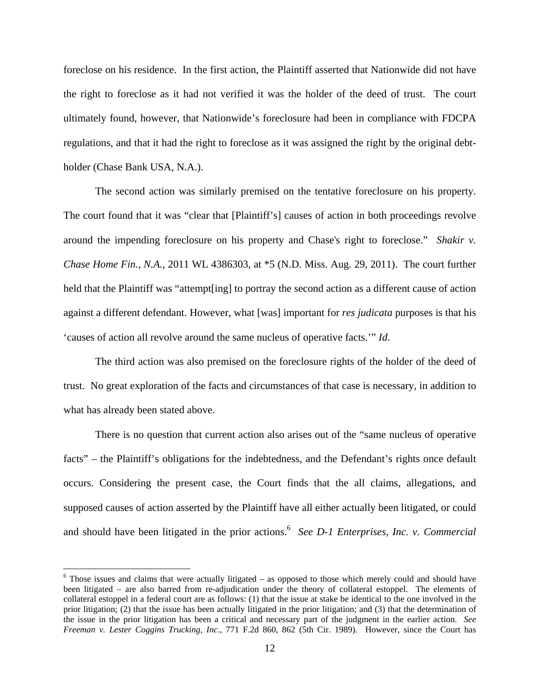foreclose on his residence. In the first action, the Plaintiff asserted that Nationwide did not have the right to foreclose as it had not verified it was the holder of the deed of trust. The court ultimately found, however, that Nationwide's foreclosure had been in compliance with FDCPA regulations, and that it had the right to foreclose as it was assigned the right by the original debtholder (Chase Bank USA, N.A.).

The second action was similarly premised on the tentative foreclosure on his property. The court found that it was "clear that [Plaintiff's] causes of action in both proceedings revolve around the impending foreclosure on his property and Chase's right to foreclose." *Shakir v. Chase Home Fin., N.A.*, 2011 WL 4386303, at \*5 (N.D. Miss. Aug. 29, 2011). The court further held that the Plaintiff was "attempt[ing] to portray the second action as a different cause of action against a different defendant. However, what [was] important for *res judicata* purposes is that his 'causes of action all revolve around the same nucleus of operative facts.'" *Id*.

The third action was also premised on the foreclosure rights of the holder of the deed of trust. No great exploration of the facts and circumstances of that case is necessary, in addition to what has already been stated above.

There is no question that current action also arises out of the "same nucleus of operative facts" – the Plaintiff's obligations for the indebtedness, and the Defendant's rights once default occurs. Considering the present case, the Court finds that the all claims, allegations, and supposed causes of action asserted by the Plaintiff have all either actually been litigated, or could and should have been litigated in the prior actions.<sup>6</sup> See D-1 Enterprises, Inc. v. Commercial

 $\overline{a}$ 

<sup>&</sup>lt;sup>6</sup> Those issues and claims that were actually litigated – as opposed to those which merely could and should have been litigated – are also barred from re-adjudication under the theory of collateral estoppel. The elements of collateral estoppel in a federal court are as follows: (1) that the issue at stake be identical to the one involved in the prior litigation; (2) that the issue has been actually litigated in the prior litigation; and (3) that the determination of the issue in the prior litigation has been a critical and necessary part of the judgment in the earlier action. *See Freeman v. Lester Coggins Trucking, Inc*., 771 F.2d 860, 862 (5th Cir. 1989). However, since the Court has